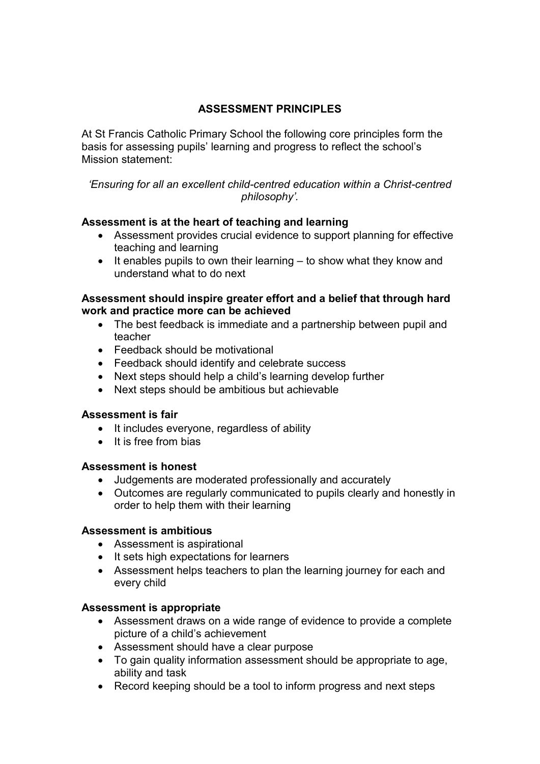# **ASSESSMENT PRINCIPLES**

At St Francis Catholic Primary School the following core principles form the basis for assessing pupils' learning and progress to reflect the school's Mission statement:

*'Ensuring for all an excellent child-centred education within a Christ-centred philosophy'.* 

#### **Assessment is at the heart of teaching and learning**

- Assessment provides crucial evidence to support planning for effective teaching and learning
- It enables pupils to own their learning to show what they know and understand what to do next

### **Assessment should inspire greater effort and a belief that through hard work and practice more can be achieved**

- The best feedback is immediate and a partnership between pupil and teacher
- Feedback should be motivational
- Feedback should identify and celebrate success
- Next steps should help a child's learning develop further
- Next steps should be ambitious but achievable

## **Assessment is fair**

- It includes everyone, regardless of ability
- It is free from bias

#### **Assessment is honest**

- Judgements are moderated professionally and accurately
- Outcomes are regularly communicated to pupils clearly and honestly in order to help them with their learning

#### **Assessment is ambitious**

- Assessment is aspirational
- It sets high expectations for learners
- Assessment helps teachers to plan the learning journey for each and every child

## **Assessment is appropriate**

- Assessment draws on a wide range of evidence to provide a complete picture of a child's achievement
- Assessment should have a clear purpose
- To gain quality information assessment should be appropriate to age, ability and task
- Record keeping should be a tool to inform progress and next steps